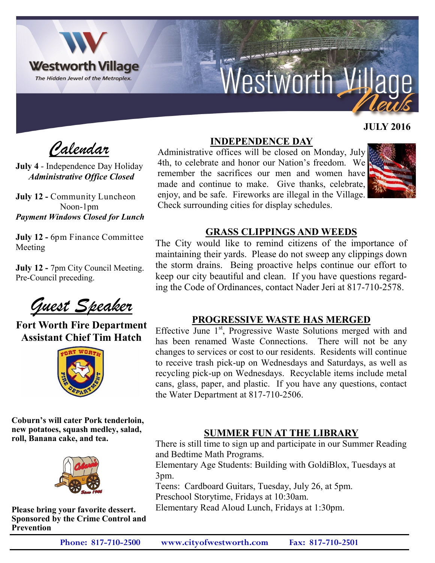

# Westworth Village

# **JULY 2016**

 *Calendar*

**July 4** - Independence Day Holiday *Administrative Office Closed*

**July 12 -** Community Luncheon Noon-1pm *Payment Windows Closed for Lunch*

**July 12 -** 6pm Finance Committee Meeting

**July 12 -** 7pm City Council Meeting. Pre-Council preceding.

*Guest Speaker*

**Fort Worth Fire Department Assistant Chief Tim Hatch**



**Coburn's will cater Pork tenderloin, new potatoes, squash medley, salad, roll, Banana cake, and tea.**



**Please bring your favorite dessert. Sponsored by the Crime Control and Prevention** 

# **INDEPENDENCE DAY**

Administrative offices will be closed on Monday, July 4th, to celebrate and honor our Nation's freedom. We remember the sacrifices our men and women have made and continue to make. Give thanks, celebrate, enjoy, and be safe. Fireworks are illegal in the Village. Check surrounding cities for display schedules.



### **GRASS CLIPPINGS AND WEEDS**

The City would like to remind citizens of the importance of maintaining their yards. Please do not sweep any clippings down the storm drains. Being proactive helps continue our effort to keep our city beautiful and clean. If you have questions regarding the Code of Ordinances, contact Nader Jeri at 817-710-2578.

#### **PROGRESSIVE WASTE HAS MERGED**

Effective June 1<sup>st</sup>, Progressive Waste Solutions merged with and has been renamed Waste Connections. There will not be any changes to services or cost to our residents. Residents will continue to receive trash pick-up on Wednesdays and Saturdays, as well as recycling pick-up on Wednesdays. Recyclable items include metal cans, glass, paper, and plastic. If you have any questions, contact the Water Department at 817-710-2506.

# **SUMMER FUN AT THE LIBRARY**

There is still time to sign up and participate in our Summer Reading and Bedtime Math Programs.

Elementary Age Students: Building with GoldiBlox, Tuesdays at 3pm.

Teens: Cardboard Guitars, Tuesday, July 26, at 5pm.

Preschool Storytime, Fridays at 10:30am.

Elementary Read Aloud Lunch, Fridays at 1:30pm.